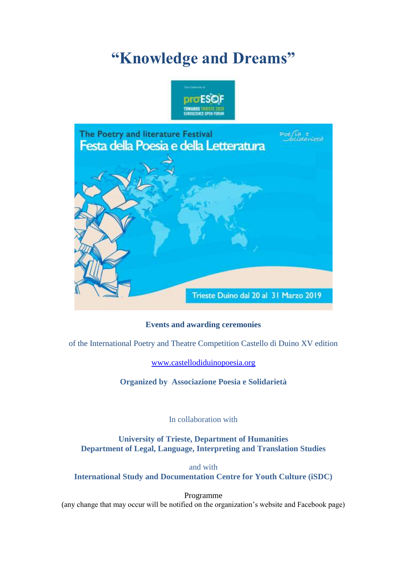# **"Knowledge and Dreams"**





# **Events and awarding ceremonies**

of the International Poetry and Theatre Competition Castello di Duino XV edition

[www.castellodiduinopoesia.org](http://www.castellodiduinopoesia.org/)

**Organized by Associazione Poesia e Solidarietà**

In collaboration with

**University of Trieste, Department of Humanities Department of Legal, Language, Interpreting and Translation Studies**

and with **International Study and Documentation Centre for Youth Culture (iSDC)**

Programme (any change that may occur will be notified on the organization's website and Facebook page)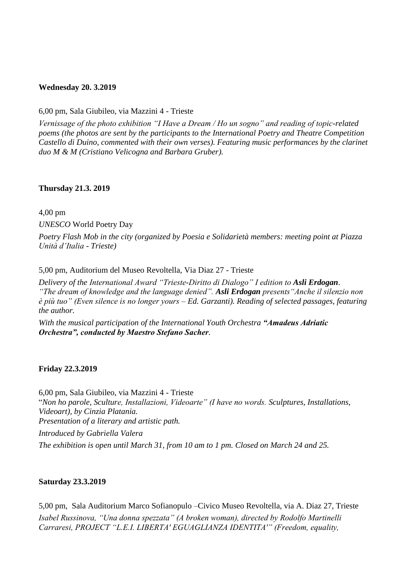#### **Wednesday 20. 3.2019**

6,00 pm, Sala Giubileo, via Mazzini 4 - Trieste

*Vernissage of the photo exhibition "I Have a Dream / Ho un sogno" and reading of topic-related poems (the photos are sent by the participants to the International Poetry and Theatre Competition Castello di Duino, commented with their own verses). Featuring music performances by the clarinet duo M & M (Cristiano Velicogna and Barbara Gruber).*

#### **Thursday 21.3. 2019**

4,00 pm

*UNESCO* World Poetry Day

*Poetry Flash Mob in the city (organized by Poesia e Solidarietà members: meeting point at Piazza Unità d'Italia - Trieste)*

5,00 pm, Auditorium del Museo Revoltella, Via Diaz 27 - Trieste

*Delivery of the International Award "Trieste-Diritto di Dialogo" I edition to Asli Erdogan*. *"The dream of knowledge and the language denied". Asli Erdogan presents"Anche il silenzio non è più tuo" (Even silence is no longer yours – Ed. Garzanti). Reading of selected passages, featuring the author.*

*With the musical participation of the International Youth Orchestra "Amadeus Adriatic Orchestra", conducted by Maestro Stefano Sacher.* 

#### **Friday 22.3.2019**

6,00 pm, Sala Giubileo, via Mazzini 4 - Trieste "*Non ho parole, Sculture, Installazioni, Videoarte" (I have no words. Sculptures, Installations, Videoart), by Cinzia Platania. Presentation of a literary and artistic path. Introduced by Gabriella Valera The exhibition is open until March 31, from 10 am to 1 pm. Closed on March 24 and 25.*

#### **Saturday 23.3.2019**

5,00 pm, Sala Auditorium Marco Sofianopulo –Civico Museo Revoltella, via A. Diaz 27, Trieste *Isabel Russinova, "Una donna spezzata" (A broken woman), directed by Rodolfo Martinelli Carraresi, PROJECT "L.E.I. LIBERTA' EGUAGLIANZA IDENTITA'" (Freedom, equality,*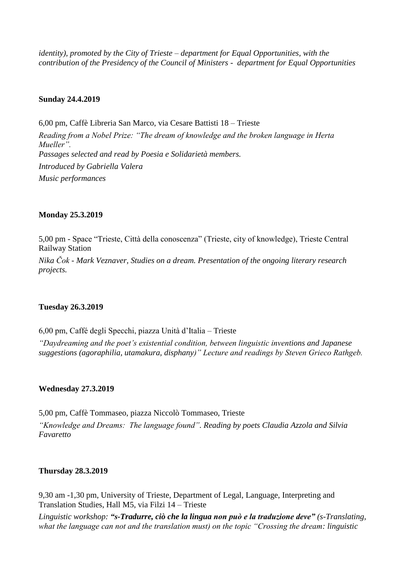*identity), promoted by the City of Trieste – department for Equal Opportunities, with the contribution of the Presidency of the Council of Ministers - department for Equal Opportunities*

#### **Sunday 24.4.2019**

6,00 pm, Caffè Libreria San Marco, via Cesare Battisti 18 – Trieste *Reading from a Nobel Prize: "The dream of knowledge and the broken language in Herta Mueller". Passages selected and read by Poesia e Solidarietà members. Introduced by Gabriella Valera Music performances*

#### **Monday 25.3.2019**

5,00 pm - Space "Trieste, Città della conoscenza" (Trieste, city of knowledge), Trieste Central Railway Station

*Nika Čok - Mark Veznaver, Studies on a dream. Presentation of the ongoing literary research projects.*

#### **Tuesday 26.3.2019**

6,00 pm, Caffé degli Specchi, piazza Unità d'Italia – Trieste

*"Daydreaming and the poet's existential condition, between linguistic inventions and Japanese suggestions (agoraphilia, utamakura, disphany)" Lecture and readings by Steven Grieco Rathgeb.*

#### **Wednesday 27.3.2019**

5,00 pm, Caffè Tommaseo, piazza Niccolò Tommaseo, Trieste *"Knowledge and Dreams: The language found". Reading by poets Claudia Azzola and Silvia Favaretto*

# **Thursday 28.3.2019**

9,30 am -1,30 pm, University of Trieste, Department of Legal, Language, Interpreting and Translation Studies, Hall M5, via Filzi 14 – Trieste

*Linguistic workshop: "s-Tradurre, ciò che la lingua non può e la traduzione deve" (s-Translating, what the language can not and the translation must) on the topic "Crossing the dream: linguistic*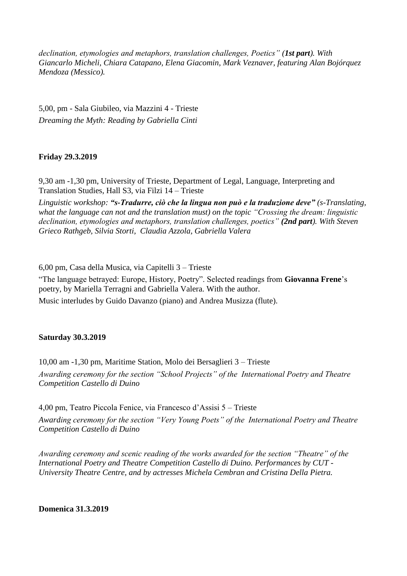*declination, etymologies and metaphors, translation challenges, Poetics" (1st part). With Giancarlo Micheli, Chiara Catapano, Elena Giacomin, Mark Veznaver, featuring Alan Bojórquez Mendoza (Messico).*

5,00, pm - Sala Giubileo, via Mazzini 4 - Trieste *Dreaming the Myth: Reading by Gabriella Cinti*

# **Friday 29.3.2019**

9,30 am -1,30 pm, University of Trieste, Department of Legal, Language, Interpreting and Translation Studies, Hall S3, via Filzi 14 – Trieste

*Linguistic workshop: "s-Tradurre, ciò che la lingua non può e la traduzione deve" (s-Translating, what the language can not and the translation must) on the topic "Crossing the dream: linguistic declination, etymologies and metaphors, translation challenges, poetics" (2nd part). With Steven Grieco Rathgeb, Silvia Storti, Claudia Azzola, Gabriella Valera*

6,00 pm, Casa della Musica, via Capitelli 3 – Trieste

"The language betrayed: Europe, History, Poetry". Selected readings from **Giovanna Frene**'s poetry, by Mariella Terragni and Gabriella Valera. With the author.

Music interludes by Guido Davanzo (piano) and Andrea Musizza (flute).

# **Saturday 30.3.2019**

10,00 am -1,30 pm, Maritime Station, Molo dei Bersaglieri 3 – Trieste *Awarding ceremony for the section "School Projects" of the International Poetry and Theatre Competition Castello di Duino*

4,00 pm, Teatro Piccola Fenice, via Francesco d'Assisi 5 – Trieste

*Awarding ceremony for the section "Very Young Poets" of the International Poetry and Theatre Competition Castello di Duino*

*Awarding ceremony and scenic reading of the works awarded for the section "Theatre" of the International Poetry and Theatre Competition Castello di Duino. Performances by CUT - University Theatre Centre, and by actresses Michela Cembran and Cristina Della Pietra.*

**Domenica 31.3.2019**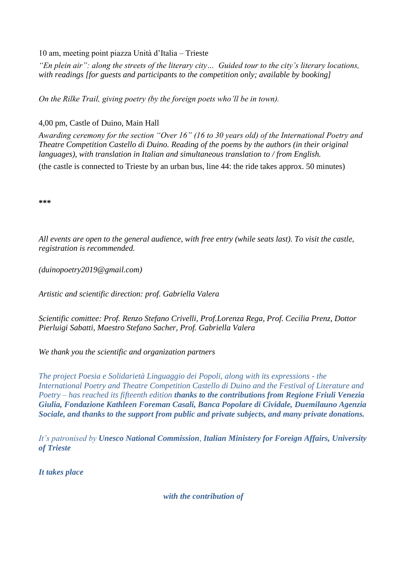10 am, meeting point piazza Unità d'Italia – Trieste

*"En plein air": along the streets of the literary city… Guided tour to the city's literary locations, with readings [for guests and participants to the competition only; available by booking]*

*On the Rilke Trail, giving poetry (by the foreign poets who'll be in town).* 

# 4,00 pm, Castle of Duino, Main Hall

*Awarding ceremony for the section "Over 16" (16 to 30 years old) of the International Poetry and Theatre Competition Castello di Duino. Reading of the poems by the authors (in their original languages), with translation in Italian and simultaneous translation to / from English.* (the castle is connected to Trieste by an urban bus, line 44: the ride takes approx. 50 minutes)

**\*\*\***

*All events are open to the general audience, with free entry (while seats last). To visit the castle, registration is recommended.*

*(duinopoetry2019@gmail.com)*

*Artistic and scientific direction: prof. Gabriella Valera*

*Scientific comittee: Prof. Renzo Stefano Crivelli, Prof.Lorenza Rega, Prof. Cecilia Prenz, Dottor Pierluigi Sabatti, Maestro Stefano Sacher, Prof. Gabriella Valera*

*We thank you the scientific and organization partners*

*The project Poesia e Solidarietà Linguaggio dei Popoli, along with its expressions - the International Poetry and Theatre Competition Castello di Duino and the Festival of Literature and Poetry – has reached its fifteenth edition thanks to the contributions from Regione Friuli Venezia Giulia, Fondazione Kathleen Foreman Casali, Banca Popolare di Cividale, Duemilauno Agenzia Sociale, and thanks to the support from public and private subjects, and many private donations.*

*It's patronised by Unesco National Commission, Italian Ministery for Foreign Affairs, University of Trieste*

*It takes place*

*with the contribution of*